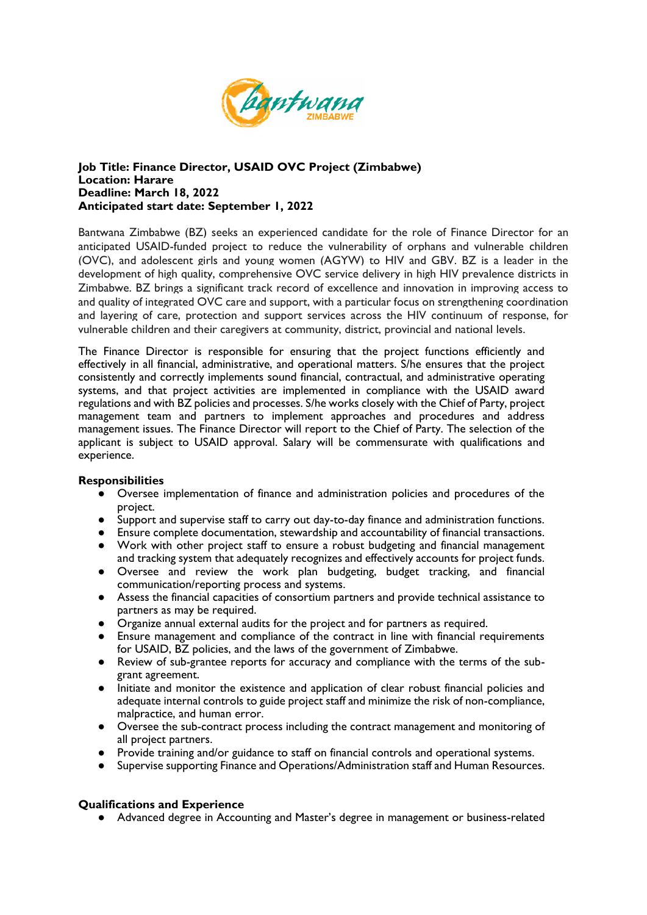

## **Job Title: Finance Director, USAID OVC Project (Zimbabwe) Location: Harare Deadline: March 18, 2022 Anticipated start date: September 1, 2022**

Bantwana Zimbabwe (BZ) seeks an experienced candidate for the role of Finance Director for an anticipated USAID-funded project to reduce the vulnerability of orphans and vulnerable children (OVC), and adolescent girls and young women (AGYW) to HIV and GBV. BZ is a leader in the development of high quality, comprehensive OVC service delivery in high HIV prevalence districts in Zimbabwe. BZ brings a significant track record of excellence and innovation in improving access to and quality of integrated OVC care and support, with a particular focus on strengthening coordination and layering of care, protection and support services across the HIV continuum of response, for vulnerable children and their caregivers at community, district, provincial and national levels.

The Finance Director is responsible for ensuring that the project functions efficiently and effectively in all financial, administrative, and operational matters. S/he ensures that the project consistently and correctly implements sound financial, contractual, and administrative operating systems, and that project activities are implemented in compliance with the USAID award regulations and with BZ policies and processes. S/he works closely with the Chief of Party, project management team and partners to implement approaches and procedures and address management issues. The Finance Director will report to the Chief of Party. The selection of the applicant is subject to USAID approval. Salary will be commensurate with qualifications and experience.

## **Responsibilities**

- Oversee implementation of finance and administration policies and procedures of the project.
- Support and supervise staff to carry out day-to-day finance and administration functions.
- Ensure complete documentation, stewardship and accountability of financial transactions.
- Work with other project staff to ensure a robust budgeting and financial management and tracking system that adequately recognizes and effectively accounts for project funds.
- Oversee and review the work plan budgeting, budget tracking, and financial communication/reporting process and systems.
- Assess the financial capacities of consortium partners and provide technical assistance to partners as may be required.
- Organize annual external audits for the project and for partners as required.
- Ensure management and compliance of the contract in line with financial requirements for USAID, BZ policies, and the laws of the government of Zimbabwe.
- Review of sub-grantee reports for accuracy and compliance with the terms of the subgrant agreement.
- Initiate and monitor the existence and application of clear robust financial policies and adequate internal controls to guide project staff and minimize the risk of non-compliance, malpractice, and human error.
- Oversee the sub-contract process including the contract management and monitoring of all project partners.
- Provide training and/or guidance to staff on financial controls and operational systems.
- Supervise supporting Finance and Operations/Administration staff and Human Resources.

## **Qualifications and Experience**

● Advanced degree in Accounting and Master's degree in management or business-related